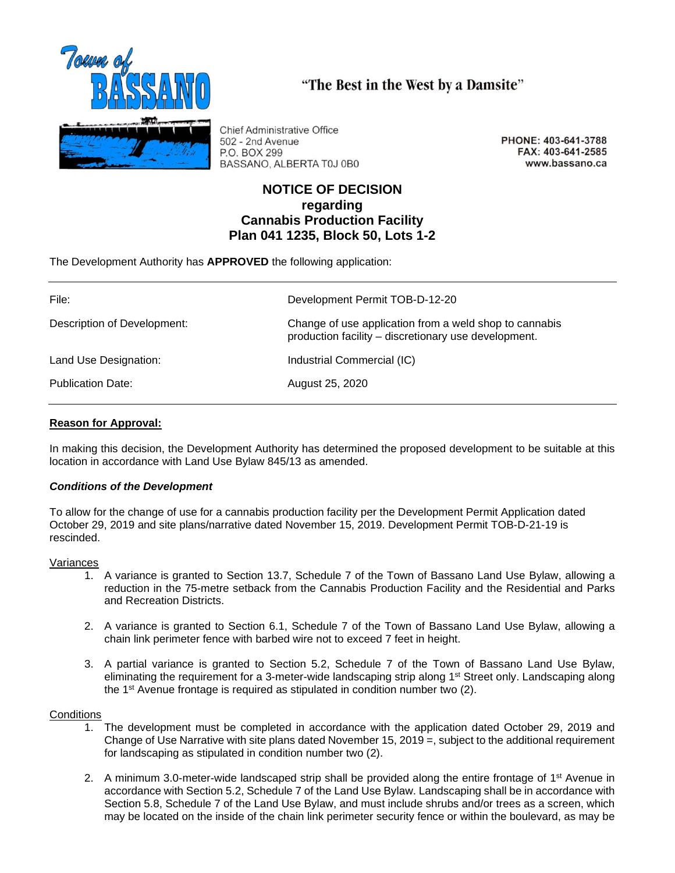

**Chief Administrative Office** 502 - 2nd Avenue P.O. BOX 299 BASSANO, ALBERTA T0J 0B0

PHONE: 403-641-3788 FAX: 403-641-2585 www.bassano.ca

# **NOTICE OF DECISION regarding Cannabis Production Facility Plan 041 1235, Block 50, Lots 1-2**

"The Best in the West by a Damsite"

The Development Authority has **APPROVED** the following application:

| File:                       | Development Permit TOB-D-12-20                                                                                 |
|-----------------------------|----------------------------------------------------------------------------------------------------------------|
| Description of Development: | Change of use application from a weld shop to cannabis<br>production facility - discretionary use development. |
| Land Use Designation:       | Industrial Commercial (IC)                                                                                     |
| <b>Publication Date:</b>    | August 25, 2020                                                                                                |

## **Reason for Approval:**

In making this decision, the Development Authority has determined the proposed development to be suitable at this location in accordance with Land Use Bylaw 845/13 as amended.

## *Conditions of the Development*

To allow for the change of use for a cannabis production facility per the Development Permit Application dated October 29, 2019 and site plans/narrative dated November 15, 2019. Development Permit TOB-D-21-19 is rescinded.

## Variances

- 1. A variance is granted to Section 13.7, Schedule 7 of the Town of Bassano Land Use Bylaw, allowing a reduction in the 75-metre setback from the Cannabis Production Facility and the Residential and Parks and Recreation Districts.
- 2. A variance is granted to Section 6.1, Schedule 7 of the Town of Bassano Land Use Bylaw, allowing a chain link perimeter fence with barbed wire not to exceed 7 feet in height.
- 3. A partial variance is granted to Section 5.2, Schedule 7 of the Town of Bassano Land Use Bylaw, eliminating the requirement for a 3-meter-wide landscaping strip along 1<sup>st</sup> Street only. Landscaping along the 1st Avenue frontage is required as stipulated in condition number two (2).

## **Conditions**

- 1. The development must be completed in accordance with the application dated October 29, 2019 and Change of Use Narrative with site plans dated November 15, 2019 =, subject to the additional requirement for landscaping as stipulated in condition number two (2).
- 2. A minimum 3.0-meter-wide landscaped strip shall be provided along the entire frontage of  $1<sup>st</sup>$  Avenue in accordance with Section 5.2, Schedule 7 of the Land Use Bylaw. Landscaping shall be in accordance with Section 5.8, Schedule 7 of the Land Use Bylaw, and must include shrubs and/or trees as a screen, which may be located on the inside of the chain link perimeter security fence or within the boulevard, as may be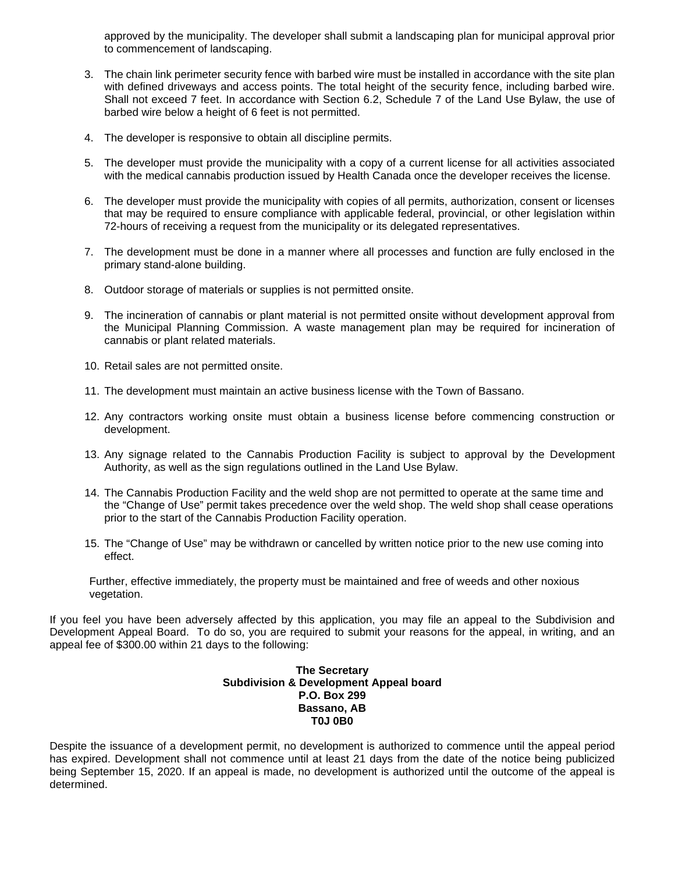approved by the municipality. The developer shall submit a landscaping plan for municipal approval prior to commencement of landscaping.

- 3. The chain link perimeter security fence with barbed wire must be installed in accordance with the site plan with defined driveways and access points. The total height of the security fence, including barbed wire. Shall not exceed 7 feet. In accordance with Section 6.2, Schedule 7 of the Land Use Bylaw, the use of barbed wire below a height of 6 feet is not permitted.
- 4. The developer is responsive to obtain all discipline permits.
- 5. The developer must provide the municipality with a copy of a current license for all activities associated with the medical cannabis production issued by Health Canada once the developer receives the license.
- 6. The developer must provide the municipality with copies of all permits, authorization, consent or licenses that may be required to ensure compliance with applicable federal, provincial, or other legislation within 72-hours of receiving a request from the municipality or its delegated representatives.
- 7. The development must be done in a manner where all processes and function are fully enclosed in the primary stand-alone building.
- 8. Outdoor storage of materials or supplies is not permitted onsite.
- 9. The incineration of cannabis or plant material is not permitted onsite without development approval from the Municipal Planning Commission. A waste management plan may be required for incineration of cannabis or plant related materials.
- 10. Retail sales are not permitted onsite.
- 11. The development must maintain an active business license with the Town of Bassano.
- 12. Any contractors working onsite must obtain a business license before commencing construction or development.
- 13. Any signage related to the Cannabis Production Facility is subject to approval by the Development Authority, as well as the sign regulations outlined in the Land Use Bylaw.
- 14. The Cannabis Production Facility and the weld shop are not permitted to operate at the same time and the "Change of Use" permit takes precedence over the weld shop. The weld shop shall cease operations prior to the start of the Cannabis Production Facility operation.
- 15. The "Change of Use" may be withdrawn or cancelled by written notice prior to the new use coming into effect.

Further, effective immediately, the property must be maintained and free of weeds and other noxious vegetation.

If you feel you have been adversely affected by this application, you may file an appeal to the Subdivision and Development Appeal Board. To do so, you are required to submit your reasons for the appeal, in writing, and an appeal fee of \$300.00 within 21 days to the following:

### **The Secretary Subdivision & Development Appeal board P.O. Box 299 Bassano, AB T0J 0B0**

Despite the issuance of a development permit, no development is authorized to commence until the appeal period has expired. Development shall not commence until at least 21 days from the date of the notice being publicized being September 15, 2020. If an appeal is made, no development is authorized until the outcome of the appeal is determined.